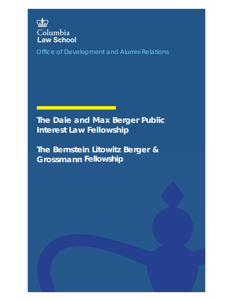

Office of Development and Alumni Relations

**The Dale and Max Berger Public Interest Law Fellowship**

**The Bernstein Litowitz Berger & Grossmann Fellowship**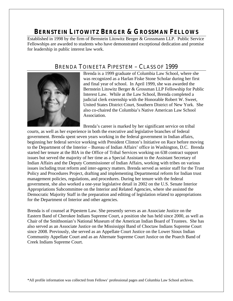## **BERNSTEIN LITOWITZ BERGER & GROSSMAN FELLOWS**

Established in 1998 by the firm of Bernstein Litowitz Berger & Grossmann LLP. Public Service Fellowships are awarded to students who have demonstrated exceptional dedication and promise for leadership in public interest law work.

#### BRENDA TOINEETA PIPESTEM – CLASS OF 1999



Brenda is a 1999 graduate of Columbia Law School, where she was recognized as a Harlan Fiske Stone Scholar during her first and final year of school. In April 1999, she was awarded the Bernstein Litowitz Berger & Grossman LLP Fellowship for Public Interest Law. While at the Law School, Brenda completed a judicial clerk externship with the Honorable Robert W. Sweet, United States District Court, Southern District of New York. She also co-chaired the Columbia's Native American Law School Association.

Brenda's career is marked by her significant service on tribal

courts, as well as her experience in both the executive and legislative branches of federal government. Brenda spent seven years working in the federal government in Indian affairs, beginning her federal service working with President Clinton's Initiative on Race before moving to the Department of the Interior – Bureau of Indian Affairs' office in Washington, D.C. Brenda started her tenure at the BIA in the Office of Tribal Services working on 638 contract support issues but served the majority of her time as a Special Assistant to the Assistant Secretary of Indian Affairs and the Deputy Commissioner of Indian Affairs, working with tribes on various issues including trust reform and inter-agency matters. Brenda served as senior staff for the Trust Policy and Procedures Project, drafting and implementing Departmental reform for Indian trust management policies, regulations, and procedures. During her tenure with the federal government, she also worked a one-year legislative detail in 2002 on the U.S. Senate Interior Appropriations Subcommittee on the Interior and Related Agencies, where she assisted the Democratic Majority Staff in the preparation and editing of legislation related to appropriations for the Department of Interior and other agencies.

Brenda is of counsel at Pipestem Law. She presently serves as an Associate Justice on the Eastern Band of Cherokee Indians Supreme Court, a position she has held since 2000, as well as Chair of the Smithsonian's National Museum of the American Indian Board of Trustees. She has also served as an Associate Justice on the Mississippi Band of Choctaw Indians Supreme Court since 2008. Previously, she served as an Appellate Court Justice on the Lower Sioux Indian Community Appellate Court and as an Alternate Supreme Court Justice on the Poarch Band of Creek Indians Supreme Court.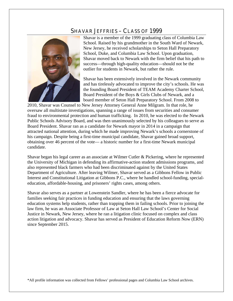#### SHAVAR JEFFRIES – CLASS OF 1999



Shavar is a member of the 1999 graduating class of Columbia Law School. Raised by his grandmother in the South Ward of Newark, New Jersey, he received scholarships to Seton Hall Preparatory School, Duke, and Columbia Law School. Upon graduation, Shavar moved back to Newark with the firm belief that his path to success—through high-quality education—should not be the outlier for students in Newark, but rather the rule.

Shavar has been extensively involved in the Newark community and has tirelessly advocated to improve the city's schools. He was the founding Board President of TEAM Academy Charter School, Board President of the Boys & Girls Clubs of Newark, and a board member of Seton Hall Preparatory School. From 2008 to

2010, Shavar was Counsel to New Jersey Attorney General Anne Milgram. In that role, he oversaw all multistate investigations, spanning a range of issues from securities and consumer fraud to environmental protection and human trafficking. In 2010, he was elected to the Newark Public Schools Advisory Board, and was then unanimously selected by his colleagues to serve as Board President. Shavar ran as a candidate for Newark mayor in 2014 in a campaign that attracted national attention, during which he made improving Newark's schools a cornerstone of his campaign. Despite being a first-time municipal candidate, Shavar gained broad support, obtaining over 46 percent of the vote— a historic number for a first-time Newark municipal candidate.

Shavar began his legal career as an associate at Wilmer Cutler & Pickering, where he represented the University of Michigan in defending its affirmative-action student admissions programs, and also represented black farmers who had been discriminated against by the United States Department of Agriculture. After leaving Wilmer, Shavar served as a Gibbons Fellow in Public Interest and Constitutional Litigation at Gibbons P.C., where he handled school-funding, specialeducation, affordable-housing, and prisoners' rights cases, among others.

Shavar also serves as a partner at Lowenstein Sandler, where he has been a fierce advocate for families seeking fair practices in funding education and ensuring that the laws governing education systems help students, rather than trapping them in failing schools. Prior to joining the law firm, he was an Associate Professor of Law at Seton Hall Law School's Center for Social Justice in Newark, New Jersey, where he ran a litigation clinic focused on complex and class action litigation and advocacy. Shavar has served as President of Education Reform Now (ERN) since September 2015.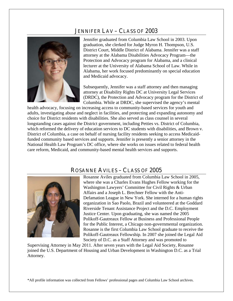### JENNIFER LAV – CLASS OF 2003



Jennifer graduated from Columbia Law School in 2003. Upon graduation, she clerked for Judge Myron H. Thompson, U.S. District Court, Middle District of Alabama. Jennifer was a staff attorney at the Alabama Disabilities Advocacy Program—the Protection and Advocacy program for Alabama, and a clinical lecturer at the University of Alabama School of Law. While in Alabama, her work focused predominantly on special education and Medicaid advocacy.

Subsequently, Jennifer was a staff attorney and then managing attorney at Disability Rights DC at University Legal Services (DRDC), the Protection and Advocacy program for the District of Columbia. While at DRDC, she supervised the agency's mental

health advocacy, focusing on increasing access to community-based services for youth and adults, investigating abuse and neglect in facilities, and protecting and expanding autonomy and choice for District residents with disabilities. She also served as class counsel in several longstanding cases against the District government, including Petties vs. District of Columbia, which reformed the delivery of education services to DC students with disabilities, and Brown v. District of Columbia, a case on behalf of nursing facility residents seeking to access Medicaidfunded community based services and supports. Jennifer is presently a senior attorney in the National Health Law Program's DC office, where she works on issues related to federal health care reform, Medicaid, and community-based mental health services and supports.

#### ROSANNE AVILES – CLASS OF 2005



Rosanne Aviles graduated from Columbia Law School in 2005, where she was a Charles Evans Hughes Fellow working for the Washington Lawyers' Committee for Civil Rights & Urban Affairs and a Joseph L. Brechner Fellow with the Anti-Defamation League in New York. She interned for a human rights organization in Sao Paolo, Brazil and volunteered at the Goddard Riverside Tenant Assistance Project and the D.C. Employment Justice Center. Upon graduating, she was named the 2005 Polikoff-Gautreaux Fellow at Business and Professional People for the Public Interest, a Chicago non-governmental organization. Rosanne is the first Columbia Law School graduate to receive the Polikoff-Gautreaux Fellowship. In 2007 she joined the Legal Aid Society of D.C. as a Staff Attorney and was promoted to

Supervising Attorney in May 2011. After seven years with the Legal Aid Society, Rosanne joined the U.S. Department of Housing and Urban Development in Washington D.C. as a Trial Attorney.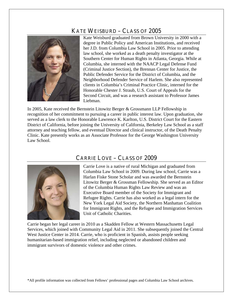## KATE WEISBURD – CLASS OF 2005



Kate Weisburd graduated from Brown University in 2000 with a degree in Public Policy and American Institutions, and received her J.D. from Columbia Law School in 2005. Prior to attending law school, she worked as a death penalty investigator at the Southern Center for Human Rights in Atlanta, Georgia. While at Columbia, she interned with the NAACP Legal Defense Fund (Criminal Justice Section), the Brennan Center for Justice, the Public Defender Service for the District of Columbia, and the Neighborhood Defender Service of Harlem. She also represented clients in Columbia's Criminal Practice Clinic, interned for the Honorable Chester J. Straub, U.S. Court of Appeals for the Second Circuit, and was a research assistant to Professor James Liebman.

In 2005, Kate received the Bernstein Litowitz Berger & Grossmann LLP Fellowship in recognition of her commitment to pursuing a career in public interest law. Upon graduation, she served as a law clerk to the Honorable Lawrence K. Karlton, U.S. District Court for the Eastern District of California, before joining the University of California, Berkeley Law School as a staff attorney and teaching fellow, and eventual Director and clinical instructor, of the Death Penalty Clinic. Kate presently works as an Associate Professor for the George Washington University Law School.



## CARRIE LOVE – CLASS OF 2009

Carrie Love is a native of rural Michigan and graduated from Columbia Law School in 2009. During law school, Carrie was a Harlan Fiske Stone Scholar and was awarded the Bernstein Litowitz Berger & Grossman Fellowship. She served as an Editor of the Columbia Human Rights Law Review and was an Executive Board member of the Society for Immigrant and Refugee Rights. Carrie has also worked as a legal intern for the New York Legal Aid Society, the Northern Manhattan Coalition for Immigrant Rights, and the Refugee and Immigration Services Unit of Catholic Charities.

Carrie began her legal career in 2010 as a Skadden Fellow at Western Massachusetts Legal Services, which joined with Community Legal Aid in 2011. She subsequently joined the Central West Justice Center in 2014. Carrie, who is proficient in Spanish, assists people seeking humanitarian-based immigration relief, including neglected or abandoned children and immigrant survivors of domestic violence and other crimes.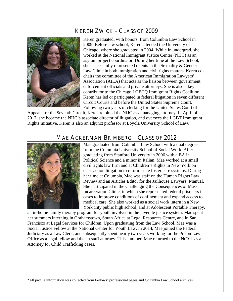## KEREN ZWICK – CLASS OF 2009



Keren graduated, with honors, from Columbia Law School in 2009. Before law school, Keren attended the University of Chicago, where she graduated in 2004. While in undergrad, she worked at the National Immigrant Justice Center (NIJC) as an asylum project coordinator. During her time at the Law School, she successfully represented clients in the Sexuality & Gender Law Clinic in both immigration and civil rights matters. Keren cochairs the committee of the American Immigration Lawyers' Association (AILA) that acts as the liaison between government enforcement officials and private attorneys. She is also a key contributor to the Chicago LGBTQ Immigrant Rights Coalition. Keren has led or participated in federal litigation in seven different Circuit Courts and before the United States Supreme Court. Following two years of clerking for the United States Court of

Appeals for the Seventh Circuit, Keren rejoined the NIJC as a managing attorney. In April of 2017, she became the NIJC's associate director of litigation, and oversees the LGBT Immigrant Rights Initiative. Keren is also an adjunct professor at Loyola University School of Law.

#### MAE ACKERMAN-BRIMBERG – CLASS OF 2012



Mae graduated from Columbia Law School with a dual degree from the Columbia University School of Social Work. After graduating from Stanford University in 2006 with a BA in Political Science and a minor in Italian, Mae worked at a small civil rights law firm and at Children's Rights in New York on class action litigation to reform state foster care systems. During her time at Columbia, Mae was staff on the Human Rights Law Review and an Articles Editor for the Jailhouse Lawyers' Manual. She participated in the Challenging the Consequences of Mass Incarceration Clinic, in which she represented federal prisoners in cases to improve conditions of confinement and expand access to medical care. She also worked as a social work intern in a New York City public high school, and at Adolescent Portable Therapy,

an in-home family therapy program for youth involved in the juvenile justice system. Mae spent her summers interning in Grahamstown, South Africa at Legal Resources Centre, and in San Francisco at Legal Services for Children. Upon graduating from the Law School, Mae was a Social Justice Fellow at the National Center for Youth Law. In 2014, Mae joined the Federal Judiciary as a Law Clerk, and subsequently spent nearly two years working for the Prison Law Office as a legal fellow and then a staff attorney. This summer, Mae returned to the NCYL as an Attorney for Child Trafficking cases.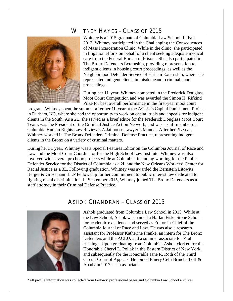### WHITNEY HAYES – CLASS OF 2015



Whitney is a 2015 graduate of Columbia Law School. In Fall 2013, Whitney participated in the Challenging the Consequences of Mass Incarceration Clinic. While in the clinic, she participated in litigation efforts on behalf of a client seeking adequate medical care from the Federal Bureau of Prisons. She also participated in The Bronx Defenders Externship, providing representation to indigent clients in housing court proceedings, as well as the Neighborhood Defender Service of Harlem Externship, where she represented indigent clients in misdemeanor criminal court proceedings.

During her 1L year, Whitney competed in the Frederick Douglass Moot Court Competition and was awarded the Simon H. Rifkind Prize for best overall performance in the first-year moot court

program. Whitney spent the summer after her 1L year at the ACLU's Capital Punishment Project in Durham, NC, where she had the opportunity to work on capital trials and appeals for indigent clients in the South. As a 2L, she served as a brief editor for the Frederick Douglass Moot Court Team, was the President of the Criminal Justice Action Network, and was a staff member on Columbia Human Rights Law Review's A Jailhouse Lawyer's Manual. After her 2L year, Whitney worked in The Bronx Defenders Criminal Defense Practice, representing indigent clients in the Bronx on a variety of criminal matters.

During her 3L year, Whitney was a Special Features Editor on the Columbia Journal of Race and Law and the Moot Court Coordinator for the High School Law Institute. Whitney was also involved with several pro bono projects while at Columbia, including working for the Public Defender Service for the District of Columbia as a 2L and the New Orleans Workers' Center for Racial Justice as a 3L. Following graduation, Whitney was awarded the Bernstein Litowitz Berger & Grossmann LLP Fellowship for her commitment to public interest law dedicated to fighting racial discrimination. In September 2015, Whitney joined The Bronx Defenders as a staff attorney in their Criminal Defense Practice.

#### ASHOK CHANDRAN – CLASS OF 2015



Ashok graduated from Columbia Law School in 2015. While at the Law School, Ashok was named a Harlan Fiske Stone Scholar for academic excellence and served as Editor-in-Chief of the Columbia Journal of Race and Law. He was also a research assistant for Professor Katherine Franke, an intern for The Bronx Defenders and the ACLU, and a summer associate for Paul Hastings. Upon graduating from Columbia, Ashok clerked for the Honorable Cheryl L. Pollak in the Eastern District of New York, and subsequently for the Honorable Jane R. Roth of the Third Circuit Court of Appeals. He joined Emery Celli Brincherhoff & Abady in 2017 as an associate.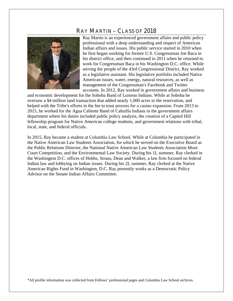#### RAY MARTIN – CLASS OF 2018



Ray Martin is an experienced government affairs and public policy professional with a deep understanding and respect of American Indian affairs and issues. His public service started in 2010 when he first began working for former U.S. Congressman Joe Baca in his district office, and then continued in 2011 when he returned to work for Congressman Baca in his Washington D.C. office. While serving the people of the 43rd Congressional District, Ray worked as a legislative assistant. His legislative portfolio included Native American issues, water, energy, natural resources, as well as management of the Congressman's Facebook and Twitter accounts. In 2012, Ray worked in government affairs and business

and economic development for the Soboba Band of Luiseno Indians. While at Soboba he oversaw a \$4 million land transaction that added nearly 1,000 acres to the reservation, and helped with the Tribe's efforts in the fee to trust process for a casino expansion. From 2013 to 2015, he worked for the Agua Caliente Band of Cahuilla Indians in the government affairs department where his duties included public policy analysis, the creation of a Capitol Hill fellowship program for Native American college students, and government relations with tribal, local, state, and federal officials.

In 2015, Ray became a student at Columbia Law School. While at Columbia he participated in the Native American Law Students Association, for which he served on the Executive Board as the Public Relations Director, the National Native American Law Students Association Moot Court Competition, and the Environmental Law Society. During his 1L summer, Ray clerked in the Washington D.C. offices of Hobbs, Straus, Dean and Walker, a law firm focused on federal Indian law and lobbying on Indian issues. During his 2L summer, Ray clerked at the Native American Rights Fund in Washington, D.C. Ray presently works as a Democratic Policy Advisor on the Senate Indian Affairs Committee.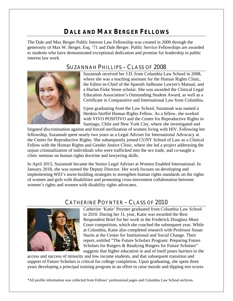# **DALE AND MAX BERGER FELLOWS**

The Dale and Max Berger Public Interest Law Fellowship was created in 2000 through the generosity of Max W. Berger, Esq. '71 and Dale Berger. Public Service Fellowships are awarded to students who have demonstrated exceptional dedication and promise for leadership in public interest law work.

## SUZANNAH PHILLIPS – CLASS OF 2008



Suzannah received her J.D. from Columbia Law School in 2008, where she was a teaching assistant for the Human Rights Clinic, the Editor-in-Chief of the Spanish Jailhouse Lawyer's Manual, and a Harlan Fiske Stone scholar. She was awarded the Clinical Legal Education Association's Outstanding Student Award, as well as a Certificate in Comparative and International Law from Columbia.

Upon graduating from the Law School, Suzannah was named a Henkin-Stoffel Human Rights Fellow. As a fellow, she worked with VIVO POSITIVO and the Center for Reproductive Rights in Santiago, Chile and New York City, where she investigated and

litigated discrimination against and forced sterilization of women living with HIV. Following her fellowship, Suzannah spent nearly two years as a Legal Adviser for International Advocacy at the Center for Reproductive Rights. She subsequently joined CUNY School of Law as a Clinical Fellow with the Human Rights and Gender Justice Clinic, where she led a project addressing the unjust criminalization of individuals who were trafficked into the sex trade, and co-taught a clinic seminar on human rights doctrine and lawyering skills.

In April 2015, Suzannah became the Senior Legal Adviser at Women Enabled International. In January 2018, she was named the Deputy Director. Her work focuses on developing and implementing WEI's norm-building strategies to strengthen human rights standards on the rights of women and girls with disabilities and promoting cross-movement collaboration between women's rights and women with disability rights advocates.

### CATHERINE POYNTER – CLASS OF 2010



Catherine 'Katie' Poynter graduated from Columbia Law School in 2010. During her 1L year, Katie was awarded the Best Respondent Brief for her work in the Frederick Douglass Moot Court competition, which she coached the subsequent year. While at Columbia, Katie also completed research with Professor Susan Sturm at the Center for Institutional and Social Change. Their report, entitled "The Future Scholars Program: Preparing Future Scholars for Rutgers & Readying Rutgers for Future Scholars" suggests that higher education in and of itself poses barriers to the

access and success of minority and low income students, and that subsequent transition and support of Future Scholars is critical for college completion. Upon graduating, she spent three years developing a principal training program in an effort to raise morale and dipping test scores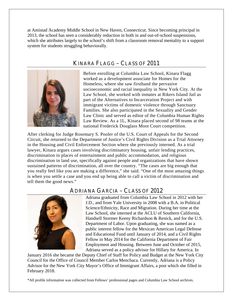at Amistad Academy Middle School in New Haven, Connecticut. Since becoming principal in 2013, the school has seen a considerably reduction in both in and out-of-school suspensions, which she attributes largely to the school's shift from a classroom removal mentality to a support system for students struggling behaviorally.



## KINARA FLAGG – CLASS OF 2011

Before enrolling at Columbia Law School, Kinara Flagg worked as a development associate for Homes for the Homeless, where she saw firsthand the pervasive socioeconomic and racial inequality in New York City. At the Law School, she worked with inmates at Rikers Island Jail as part of the Alternatives to Incarceration Project and with immigrant victims of domestic violence through Sanctuary Families. She also participated in the Sexuality and Gender Law Clinic and served as editor of the Columbia Human Rights Law Review. As a 1L, Kinara placed second of 98 teams at the national Frederick Douglass Moot Court competition.

After clerking for Judge Rosemary S. Pooler of the U.S. Court of Appeals for the Second Circuit, she returned to the Department of Justice's Civil Rights Division as a Trial Attorney in the Housing and Civil Enforcement Section where she previously interned. As a trial lawyer, Kinara argues cases involving discriminatory housing, unfair lending practices, discrimination in places of entertainment and public accommodation, and religious discrimination in land use, specifically against people and organizations that have shown sustained patterns of discrimination, all over the country. "The cases are big enough that you really feel like you are making a difference," she said. "One of the most amazing things is when you settle a case and you end up being able to call a victim of discrimination and tell them the good news."

#### ADRIANA GARCIA – CLASS OF 2012



Adriana graduated from Columbia Law School in 2012 with her J.D., and from Yale University in 2008 with a B.A. in Political Science/Ethnicity, Race and Migration. During her time at the Law School, she interned at the ACLU of Southern California, Handsell Stormer Keeny Richardson & Renick, and for the U.S. Department of Labor. Upon graduating, she was named as a public interest fellow for the Mexican American Legal Defense and Educational Fund until January of 2014, and a Civil Rights Fellow in May 2014 for the California Department of Fair Employment and Housing. Between June and October of 2015, Adriana served as a policy advisor for Hillary for America. In

January 2016 she became the Deputy Chief of Staff for Policy and Budget at the New York City Council for the Office of Council Member Carlos Menchaca. Currently, Adriana is a Policy Advisor for the New York City Mayor's Office of Immigrant Affairs, a post which she filled in February 2018.